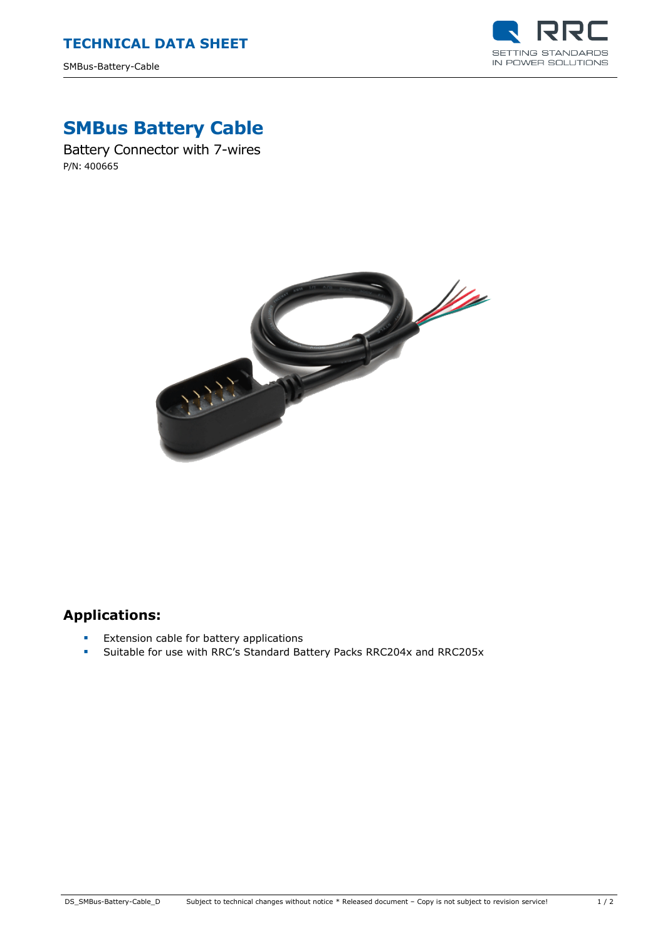SMBus-Battery-Cable



# **SMBus Battery Cable**

Battery Connector with 7-wires P/N: 400665



# **Applications:**

- **Extension cable for battery applications**
- Suitable for use with RRC's Standard Battery Packs RRC204x and RRC205x